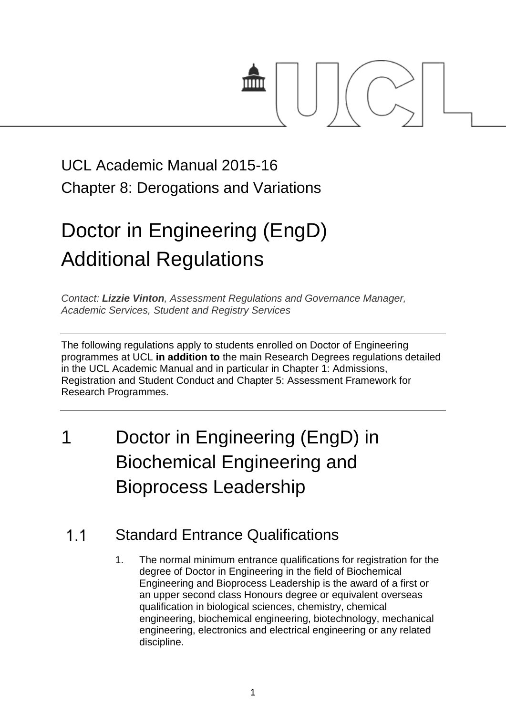

# UCL Academic Manual 2015-16 Chapter 8: Derogations and Variations

# Doctor in Engineering (EngD) Additional Regulations

*Contact: [Lizzie Vinton](mailto:s.hinton@ucl.ac.uk), Assessment Regulations and Governance Manager, Academic Services, Student and Registry Services*

The following regulations apply to students enrolled on Doctor of Engineering programmes at UCL **in addition to** the main Research Degrees regulations detailed in the UCL Academic Manual and in particular in Chapter 1: Admissions, Registration and Student Conduct and Chapter 5: Assessment Framework for Research Programmes.

# 1 Doctor in Engineering (EngD) in Biochemical Engineering and Bioprocess Leadership

#### $1<sub>1</sub>$ Standard Entrance Qualifications

1. The normal minimum entrance qualifications for registration for the degree of Doctor in Engineering in the field of Biochemical Engineering and Bioprocess Leadership is the award of a first or an upper second class Honours degree or equivalent overseas qualification in biological sciences, chemistry, chemical engineering, biochemical engineering, biotechnology, mechanical engineering, electronics and electrical engineering or any related discipline.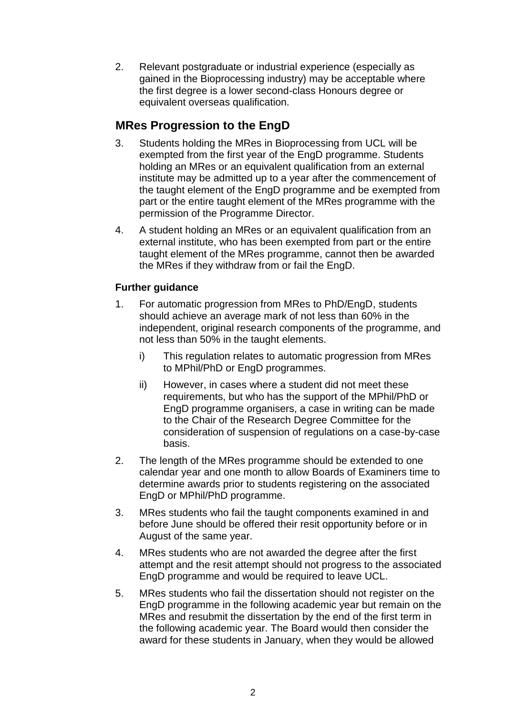2. Relevant postgraduate or industrial experience (especially as gained in the Bioprocessing industry) may be acceptable where the first degree is a lower second-class Honours degree or equivalent overseas qualification.

# **MRes Progression to the EngD**

- 3. Students holding the MRes in Bioprocessing from UCL will be exempted from the first year of the EngD programme. Students holding an MRes or an equivalent qualification from an external institute may be admitted up to a year after the commencement of the taught element of the EngD programme and be exempted from part or the entire taught element of the MRes programme with the permission of the Programme Director.
- 4. A student holding an MRes or an equivalent qualification from an external institute, who has been exempted from part or the entire taught element of the MRes programme, cannot then be awarded the MRes if they withdraw from or fail the EngD.

### **Further guidance**

- 1. For automatic progression from MRes to PhD/EngD, students should achieve an average mark of not less than 60% in the independent, original research components of the programme, and not less than 50% in the taught elements.
	- i) This regulation relates to automatic progression from MRes to MPhil/PhD or EngD programmes.
	- ii) However, in cases where a student did not meet these requirements, but who has the support of the MPhil/PhD or EngD programme organisers, a case in writing can be made to the Chair of the Research Degree Committee for the consideration of suspension of regulations on a case-by-case basis.
- 2. The length of the MRes programme should be extended to one calendar year and one month to allow Boards of Examiners time to determine awards prior to students registering on the associated EngD or MPhil/PhD programme.
- 3. MRes students who fail the taught components examined in and before June should be offered their resit opportunity before or in August of the same year.
- 4. MRes students who are not awarded the degree after the first attempt and the resit attempt should not progress to the associated EngD programme and would be required to leave UCL.
- 5. MRes students who fail the dissertation should not register on the EngD programme in the following academic year but remain on the MRes and resubmit the dissertation by the end of the first term in the following academic year. The Board would then consider the award for these students in January, when they would be allowed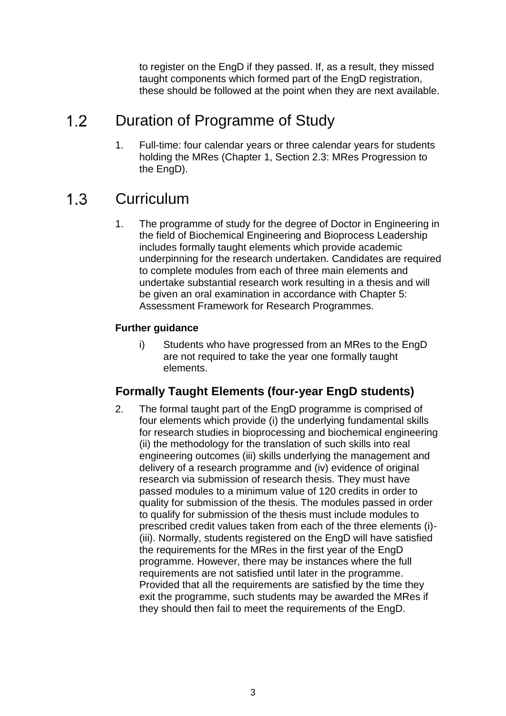to register on the EngD if they passed. If, as a result, they missed taught components which formed part of the EngD registration, these should be followed at the point when they are next available.

#### $1.2$ Duration of Programme of Study

1. Full-time: four calendar years or three calendar years for students holding the MRes (Chapter 1, Section 2.3: MRes Progression to the EngD).

#### $1.3$ **Curriculum**

1. The programme of study for the degree of Doctor in Engineering in the field of Biochemical Engineering and Bioprocess Leadership includes formally taught elements which provide academic underpinning for the research undertaken. Candidates are required to complete modules from each of three main elements and undertake substantial research work resulting in a thesis and will be given an oral examination in accordance with Chapter 5: Assessment Framework for Research Programmes.

## **Further guidance**

i) Students who have progressed from an MRes to the EngD are not required to take the year one formally taught elements.

# **Formally Taught Elements (four-year EngD students)**

2. The formal taught part of the EngD programme is comprised of four elements which provide (i) the underlying fundamental skills for research studies in bioprocessing and biochemical engineering (ii) the methodology for the translation of such skills into real engineering outcomes (iii) skills underlying the management and delivery of a research programme and (iv) evidence of original research via submission of research thesis. They must have passed modules to a minimum value of 120 credits in order to quality for submission of the thesis. The modules passed in order to qualify for submission of the thesis must include modules to prescribed credit values taken from each of the three elements (i)- (iii). Normally, students registered on the EngD will have satisfied the requirements for the MRes in the first year of the EngD programme. However, there may be instances where the full requirements are not satisfied until later in the programme. Provided that all the requirements are satisfied by the time they exit the programme, such students may be awarded the MRes if they should then fail to meet the requirements of the EngD.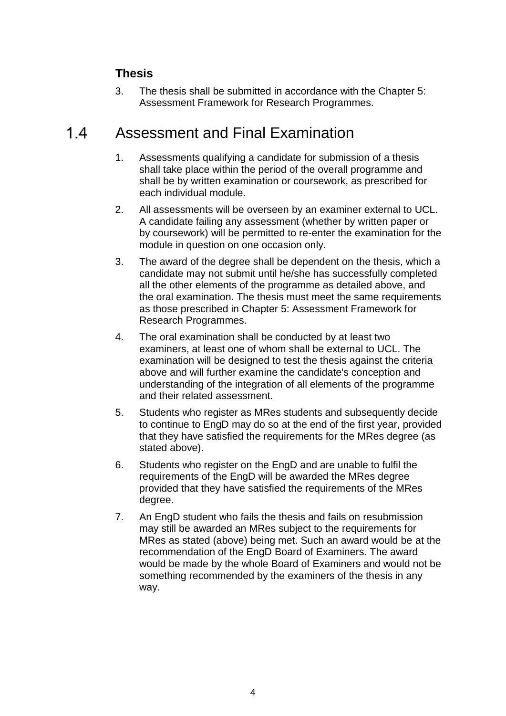# **Thesis**

3. The thesis shall be submitted in accordance with the Chapter 5: Assessment Framework for Research Programmes.

#### $14$ Assessment and Final Examination

- 1. Assessments qualifying a candidate for submission of a thesis shall take place within the period of the overall programme and shall be by written examination or coursework, as prescribed for each individual module.
- 2. All assessments will be overseen by an examiner external to UCL. A candidate failing any assessment (whether by written paper or by coursework) will be permitted to re-enter the examination for the module in question on one occasion only.
- 3. The award of the degree shall be dependent on the thesis, which a candidate may not submit until he/she has successfully completed all the other elements of the programme as detailed above, and the oral examination. The thesis must meet the same requirements as those prescribed in Chapter 5: Assessment Framework for Research Programmes.
- 4. The oral examination shall be conducted by at least two examiners, at least one of whom shall be external to UCL. The examination will be designed to test the thesis against the criteria above and will further examine the candidate's conception and understanding of the integration of all elements of the programme and their related assessment.
- 5. Students who register as MRes students and subsequently decide to continue to EngD may do so at the end of the first year, provided that they have satisfied the requirements for the MRes degree (as stated above).
- 6. Students who register on the EngD and are unable to fulfil the requirements of the EngD will be awarded the MRes degree provided that they have satisfied the requirements of the MRes degree.
- 7. An EngD student who fails the thesis and fails on resubmission may still be awarded an MRes subject to the requirements for MRes as stated (above) being met. Such an award would be at the recommendation of the EngD Board of Examiners. The award would be made by the whole Board of Examiners and would not be something recommended by the examiners of the thesis in any way.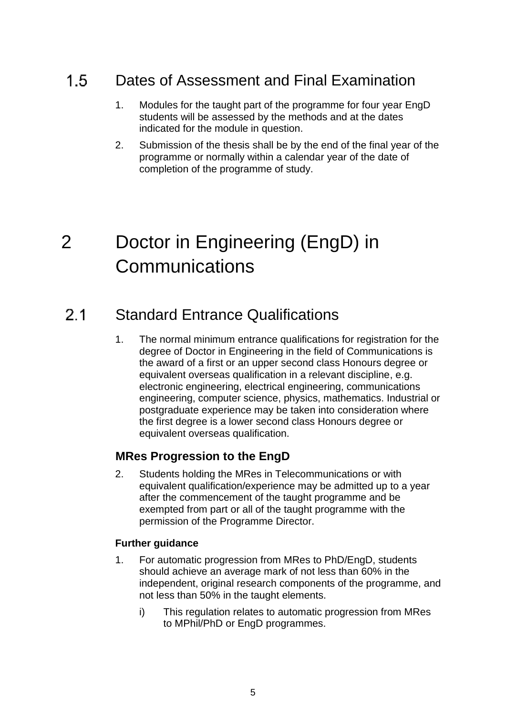#### $1.5$ Dates of Assessment and Final Examination

- 1. Modules for the taught part of the programme for four year EngD students will be assessed by the methods and at the dates indicated for the module in question.
- 2. Submission of the thesis shall be by the end of the final year of the programme or normally within a calendar year of the date of completion of the programme of study.

# 2 Doctor in Engineering (EngD) in **Communications**

#### $2.1$ Standard Entrance Qualifications

1. The normal minimum entrance qualifications for registration for the degree of Doctor in Engineering in the field of Communications is the award of a first or an upper second class Honours degree or equivalent overseas qualification in a relevant discipline, e.g. electronic engineering, electrical engineering, communications engineering, computer science, physics, mathematics. Industrial or postgraduate experience may be taken into consideration where the first degree is a lower second class Honours degree or equivalent overseas qualification.

# **MRes Progression to the EngD**

2. Students holding the MRes in Telecommunications or with equivalent qualification/experience may be admitted up to a year after the commencement of the taught programme and be exempted from part or all of the taught programme with the permission of the Programme Director.

### **Further guidance**

- 1. For automatic progression from MRes to PhD/EngD, students should achieve an average mark of not less than 60% in the independent, original research components of the programme, and not less than 50% in the taught elements.
	- i) This regulation relates to automatic progression from MRes to MPhil/PhD or EngD programmes.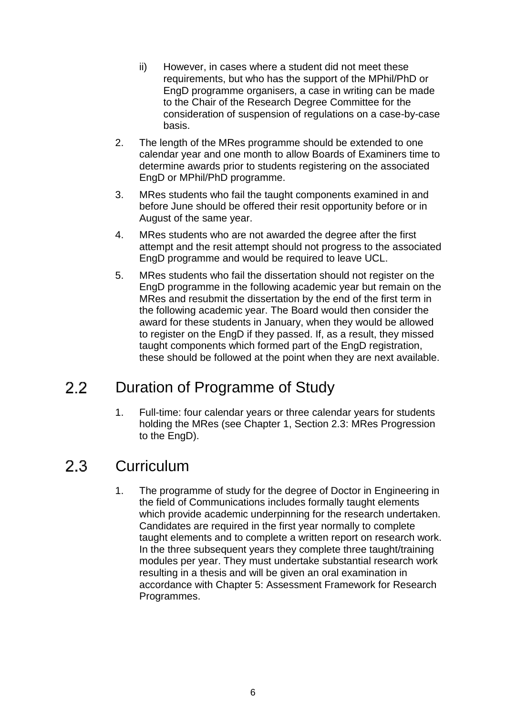- ii) However, in cases where a student did not meet these requirements, but who has the support of the MPhil/PhD or EngD programme organisers, a case in writing can be made to the Chair of the Research Degree Committee for the consideration of suspension of regulations on a case-by-case basis.
- 2. The length of the MRes programme should be extended to one calendar year and one month to allow Boards of Examiners time to determine awards prior to students registering on the associated EngD or MPhil/PhD programme.
- 3. MRes students who fail the taught components examined in and before June should be offered their resit opportunity before or in August of the same year.
- 4. MRes students who are not awarded the degree after the first attempt and the resit attempt should not progress to the associated EngD programme and would be required to leave UCL.
- 5. MRes students who fail the dissertation should not register on the EngD programme in the following academic year but remain on the MRes and resubmit the dissertation by the end of the first term in the following academic year. The Board would then consider the award for these students in January, when they would be allowed to register on the EngD if they passed. If, as a result, they missed taught components which formed part of the EngD registration, these should be followed at the point when they are next available.

#### $2.2$ Duration of Programme of Study

1. Full-time: four calendar years or three calendar years for students holding the MRes (see Chapter 1, Section 2.3: MRes Progression to the EngD).

#### $2.3$ **Curriculum**

1. The programme of study for the degree of Doctor in Engineering in the field of Communications includes formally taught elements which provide academic underpinning for the research undertaken. Candidates are required in the first year normally to complete taught elements and to complete a written report on research work. In the three subsequent years they complete three taught/training modules per year. They must undertake substantial research work resulting in a thesis and will be given an oral examination in accordance with Chapter 5: Assessment Framework for Research Programmes.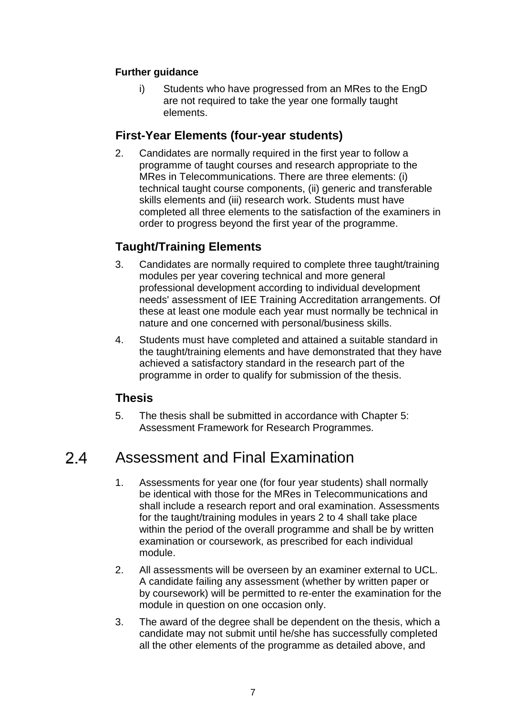### **Further guidance**

i) Students who have progressed from an MRes to the EngD are not required to take the year one formally taught elements.

# **First-Year Elements (four-year students)**

2. Candidates are normally required in the first year to follow a programme of taught courses and research appropriate to the MRes in Telecommunications. There are three elements: (i) technical taught course components, (ii) generic and transferable skills elements and (iii) research work. Students must have completed all three elements to the satisfaction of the examiners in order to progress beyond the first year of the programme.

# **Taught/Training Elements**

- 3. Candidates are normally required to complete three taught/training modules per year covering technical and more general professional development according to individual development needs' assessment of IEE Training Accreditation arrangements. Of these at least one module each year must normally be technical in nature and one concerned with personal/business skills.
- 4. Students must have completed and attained a suitable standard in the taught/training elements and have demonstrated that they have achieved a satisfactory standard in the research part of the programme in order to qualify for submission of the thesis.

# **Thesis**

5. The thesis shall be submitted in accordance with Chapter 5: Assessment Framework for Research Programmes.

#### $24$ Assessment and Final Examination

- 1. Assessments for year one (for four year students) shall normally be identical with those for the MRes in Telecommunications and shall include a research report and oral examination. Assessments for the taught/training modules in years 2 to 4 shall take place within the period of the overall programme and shall be by written examination or coursework, as prescribed for each individual module.
- 2. All assessments will be overseen by an examiner external to UCL. A candidate failing any assessment (whether by written paper or by coursework) will be permitted to re-enter the examination for the module in question on one occasion only.
- 3. The award of the degree shall be dependent on the thesis, which a candidate may not submit until he/she has successfully completed all the other elements of the programme as detailed above, and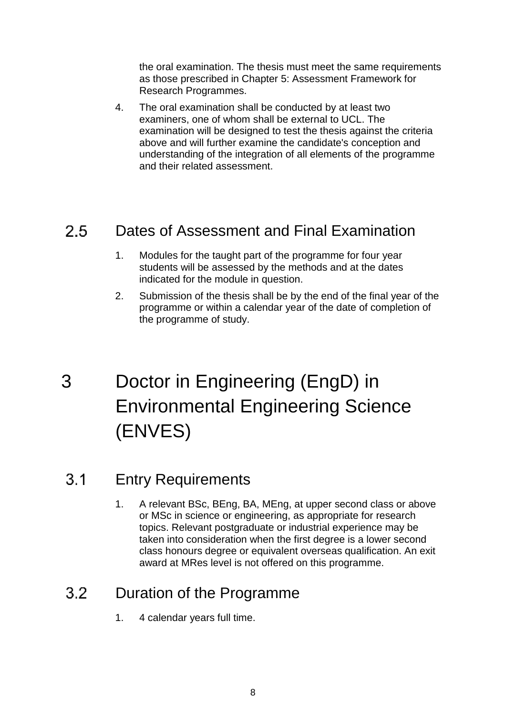the oral examination. The thesis must meet the same requirements as those prescribed in Chapter 5: Assessment Framework for Research Programmes.

4. The oral examination shall be conducted by at least two examiners, one of whom shall be external to UCL. The examination will be designed to test the thesis against the criteria above and will further examine the candidate's conception and understanding of the integration of all elements of the programme and their related assessment.

#### $2.5$ Dates of Assessment and Final Examination

- 1. Modules for the taught part of the programme for four year students will be assessed by the methods and at the dates indicated for the module in question.
- 2. Submission of the thesis shall be by the end of the final year of the programme or within a calendar year of the date of completion of the programme of study.
- 3 Doctor in Engineering (EngD) in Environmental Engineering Science (ENVES)

#### $3.1$ Entry Requirements

1. A relevant BSc, BEng, BA, MEng, at upper second class or above or MSc in science or engineering, as appropriate for research topics. Relevant postgraduate or industrial experience may be taken into consideration when the first degree is a lower second class honours degree or equivalent overseas qualification. An exit award at MRes level is not offered on this programme.

#### $3.2<sub>1</sub>$ Duration of the Programme

1. 4 calendar years full time.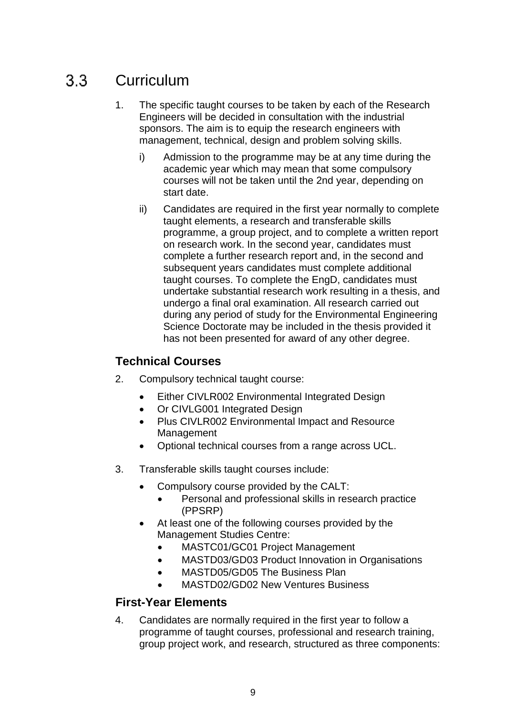#### $3.3<sub>1</sub>$ **Curriculum**

- 1. The specific taught courses to be taken by each of the Research Engineers will be decided in consultation with the industrial sponsors. The aim is to equip the research engineers with management, technical, design and problem solving skills.
	- i) Admission to the programme may be at any time during the academic year which may mean that some compulsory courses will not be taken until the 2nd year, depending on start date.
	- ii) Candidates are required in the first year normally to complete taught elements, a research and transferable skills programme, a group project, and to complete a written report on research work. In the second year, candidates must complete a further research report and, in the second and subsequent years candidates must complete additional taught courses. To complete the EngD, candidates must undertake substantial research work resulting in a thesis, and undergo a final oral examination. All research carried out during any period of study for the Environmental Engineering Science Doctorate may be included in the thesis provided it has not been presented for award of any other degree.

# **Technical Courses**

- 2. Compulsory technical taught course:
	- Either CIVLR002 Environmental Integrated Design
	- Or CIVLG001 Integrated Design
	- Plus CIVLR002 Environmental Impact and Resource Management
	- Optional technical courses from a range across UCL.
- 3. Transferable skills taught courses include:
	- Compulsory course provided by the CALT:
		- Personal and professional skills in research practice (PPSRP)
	- At least one of the following courses provided by the Management Studies Centre:
		- MASTC01/GC01 Project Management
		- MASTD03/GD03 Product Innovation in Organisations
		- MASTD05/GD05 The Business Plan
		- MASTD02/GD02 New Ventures Business

### **First-Year Elements**

4. Candidates are normally required in the first year to follow a programme of taught courses, professional and research training, group project work, and research, structured as three components: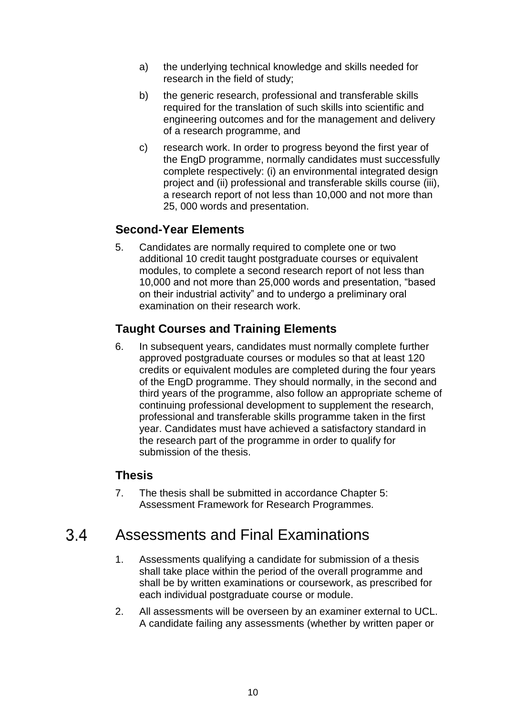- a) the underlying technical knowledge and skills needed for research in the field of study;
- b) the generic research, professional and transferable skills required for the translation of such skills into scientific and engineering outcomes and for the management and delivery of a research programme, and
- c) research work. In order to progress beyond the first year of the EngD programme, normally candidates must successfully complete respectively: (i) an environmental integrated design project and (ii) professional and transferable skills course (iii), a research report of not less than 10,000 and not more than 25, 000 words and presentation.

# **Second-Year Elements**

5. Candidates are normally required to complete one or two additional 10 credit taught postgraduate courses or equivalent modules, to complete a second research report of not less than 10,000 and not more than 25,000 words and presentation, "based on their industrial activity" and to undergo a preliminary oral examination on their research work.

# **Taught Courses and Training Elements**

6. In subsequent years, candidates must normally complete further approved postgraduate courses or modules so that at least 120 credits or equivalent modules are completed during the four years of the EngD programme. They should normally, in the second and third years of the programme, also follow an appropriate scheme of continuing professional development to supplement the research, professional and transferable skills programme taken in the first year. Candidates must have achieved a satisfactory standard in the research part of the programme in order to qualify for submission of the thesis.

# **Thesis**

7. The thesis shall be submitted in accordance Chapter 5: Assessment Framework for Research Programmes.

#### $3.4$ Assessments and Final Examinations

- 1. Assessments qualifying a candidate for submission of a thesis shall take place within the period of the overall programme and shall be by written examinations or coursework, as prescribed for each individual postgraduate course or module.
- 2. All assessments will be overseen by an examiner external to UCL. A candidate failing any assessments (whether by written paper or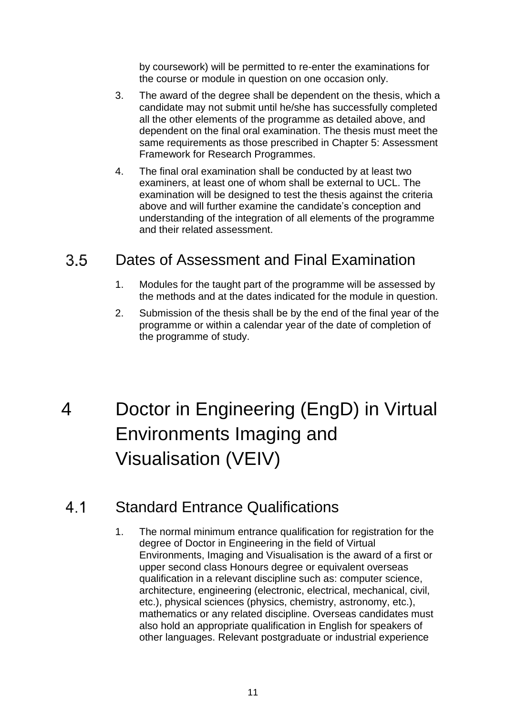by coursework) will be permitted to re-enter the examinations for the course or module in question on one occasion only.

- 3. The award of the degree shall be dependent on the thesis, which a candidate may not submit until he/she has successfully completed all the other elements of the programme as detailed above, and dependent on the final oral examination. The thesis must meet the same requirements as those prescribed in Chapter 5: Assessment Framework for Research Programmes.
- 4. The final oral examination shall be conducted by at least two examiners, at least one of whom shall be external to UCL. The examination will be designed to test the thesis against the criteria above and will further examine the candidate's conception and understanding of the integration of all elements of the programme and their related assessment.

#### $3.5$ Dates of Assessment and Final Examination

- 1. Modules for the taught part of the programme will be assessed by the methods and at the dates indicated for the module in question.
- 2. Submission of the thesis shall be by the end of the final year of the programme or within a calendar year of the date of completion of the programme of study.
- 4 Doctor in Engineering (EngD) in Virtual Environments Imaging and Visualisation (VEIV)

#### Standard Entrance Qualifications 41

1. The normal minimum entrance qualification for registration for the degree of Doctor in Engineering in the field of Virtual Environments, Imaging and Visualisation is the award of a first or upper second class Honours degree or equivalent overseas qualification in a relevant discipline such as: computer science, architecture, engineering (electronic, electrical, mechanical, civil, etc.), physical sciences (physics, chemistry, astronomy, etc.), mathematics or any related discipline. Overseas candidates must also hold an appropriate qualification in English for speakers of other languages. Relevant postgraduate or industrial experience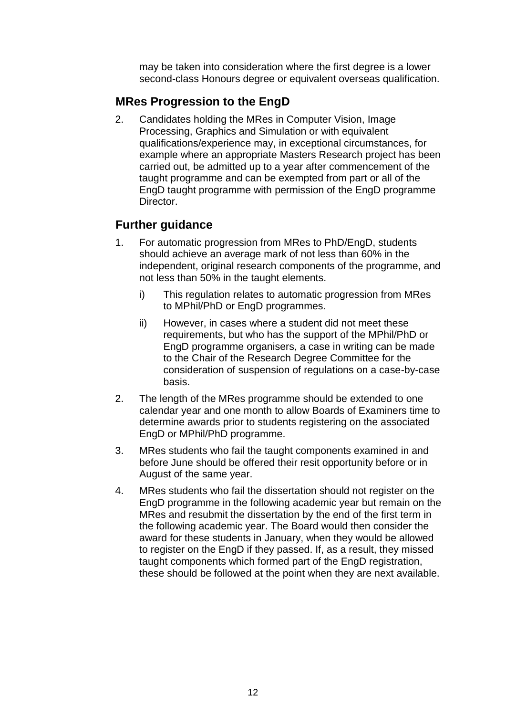may be taken into consideration where the first degree is a lower second-class Honours degree or equivalent overseas qualification.

# **MRes Progression to the EngD**

2. Candidates holding the MRes in Computer Vision, Image Processing, Graphics and Simulation or with equivalent qualifications/experience may, in exceptional circumstances, for example where an appropriate Masters Research project has been carried out, be admitted up to a year after commencement of the taught programme and can be exempted from part or all of the EngD taught programme with permission of the EngD programme Director.

# **Further guidance**

- 1. For automatic progression from MRes to PhD/EngD, students should achieve an average mark of not less than 60% in the independent, original research components of the programme, and not less than 50% in the taught elements.
	- i) This regulation relates to automatic progression from MRes to MPhil/PhD or EngD programmes.
	- ii) However, in cases where a student did not meet these requirements, but who has the support of the MPhil/PhD or EngD programme organisers, a case in writing can be made to the Chair of the Research Degree Committee for the consideration of suspension of regulations on a case-by-case basis.
- 2. The length of the MRes programme should be extended to one calendar year and one month to allow Boards of Examiners time to determine awards prior to students registering on the associated EngD or MPhil/PhD programme.
- 3. MRes students who fail the taught components examined in and before June should be offered their resit opportunity before or in August of the same year.
- 4. MRes students who fail the dissertation should not register on the EngD programme in the following academic year but remain on the MRes and resubmit the dissertation by the end of the first term in the following academic year. The Board would then consider the award for these students in January, when they would be allowed to register on the EngD if they passed. If, as a result, they missed taught components which formed part of the EngD registration, these should be followed at the point when they are next available.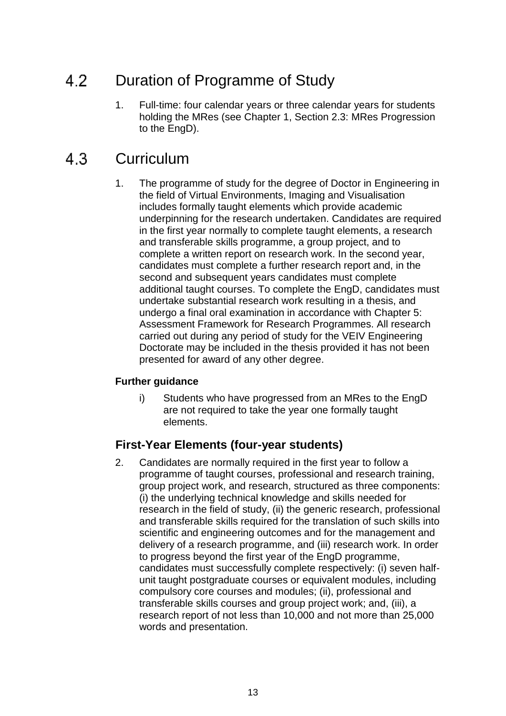#### 4.2 Duration of Programme of Study

1. Full-time: four calendar years or three calendar years for students holding the MRes (see Chapter 1, Section 2.3: MRes Progression to the EngD).

#### 4.3 **Curriculum**

1. The programme of study for the degree of Doctor in Engineering in the field of Virtual Environments, Imaging and Visualisation includes formally taught elements which provide academic underpinning for the research undertaken. Candidates are required in the first year normally to complete taught elements, a research and transferable skills programme, a group project, and to complete a written report on research work. In the second year, candidates must complete a further research report and, in the second and subsequent years candidates must complete additional taught courses. To complete the EngD, candidates must undertake substantial research work resulting in a thesis, and undergo a final oral examination in accordance with Chapter 5: Assessment Framework for Research Programmes. All research carried out during any period of study for the VEIV Engineering Doctorate may be included in the thesis provided it has not been presented for award of any other degree.

### **Further guidance**

i) Students who have progressed from an MRes to the EngD are not required to take the year one formally taught elements.

### **First-Year Elements (four-year students)**

2. Candidates are normally required in the first year to follow a programme of taught courses, professional and research training, group project work, and research, structured as three components: (i) the underlying technical knowledge and skills needed for research in the field of study, (ii) the generic research, professional and transferable skills required for the translation of such skills into scientific and engineering outcomes and for the management and delivery of a research programme, and (iii) research work. In order to progress beyond the first year of the EngD programme, candidates must successfully complete respectively: (i) seven halfunit taught postgraduate courses or equivalent modules, including compulsory core courses and modules; (ii), professional and transferable skills courses and group project work; and, (iii), a research report of not less than 10,000 and not more than 25,000 words and presentation.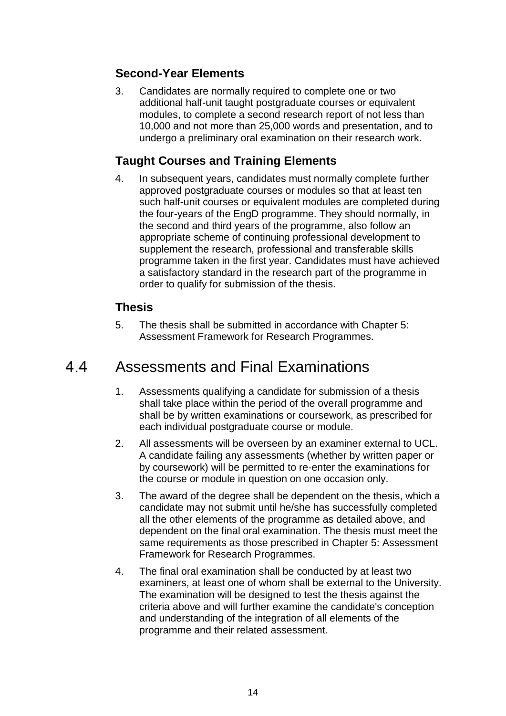# **Second-Year Elements**

3. Candidates are normally required to complete one or two additional half-unit taught postgraduate courses or equivalent modules, to complete a second research report of not less than 10,000 and not more than 25,000 words and presentation, and to undergo a preliminary oral examination on their research work.

# **Taught Courses and Training Elements**

4. In subsequent years, candidates must normally complete further approved postgraduate courses or modules so that at least ten such half-unit courses or equivalent modules are completed during the four-years of the EngD programme. They should normally, in the second and third years of the programme, also follow an appropriate scheme of continuing professional development to supplement the research, professional and transferable skills programme taken in the first year. Candidates must have achieved a satisfactory standard in the research part of the programme in order to qualify for submission of the thesis.

## **Thesis**

5. The thesis shall be submitted in accordance with Chapter 5: Assessment Framework for Research Programmes.

#### 44 Assessments and Final Examinations

- 1. Assessments qualifying a candidate for submission of a thesis shall take place within the period of the overall programme and shall be by written examinations or coursework, as prescribed for each individual postgraduate course or module.
- 2. All assessments will be overseen by an examiner external to UCL. A candidate failing any assessments (whether by written paper or by coursework) will be permitted to re-enter the examinations for the course or module in question on one occasion only.
- 3. The award of the degree shall be dependent on the thesis, which a candidate may not submit until he/she has successfully completed all the other elements of the programme as detailed above, and dependent on the final oral examination. The thesis must meet the same requirements as those prescribed in Chapter 5: Assessment Framework for Research Programmes.
- 4. The final oral examination shall be conducted by at least two examiners, at least one of whom shall be external to the University. The examination will be designed to test the thesis against the criteria above and will further examine the candidate's conception and understanding of the integration of all elements of the programme and their related assessment.